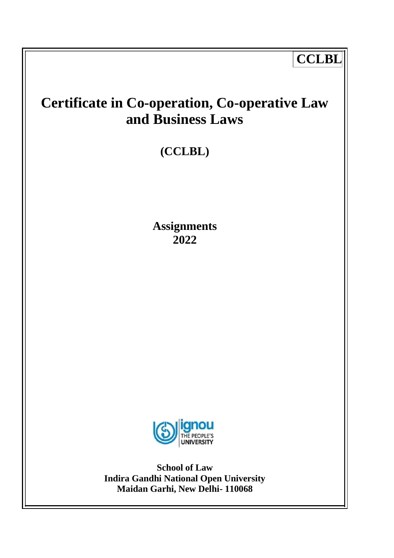# **CCLBL**

# **Certificate in Co-operation, Co-operative Law and Business Laws**

# **(CCLBL)**

**Assignments 2022**



**School of Law Indira Gandhi National Open University Maidan Garhi, New Delhi- 110068**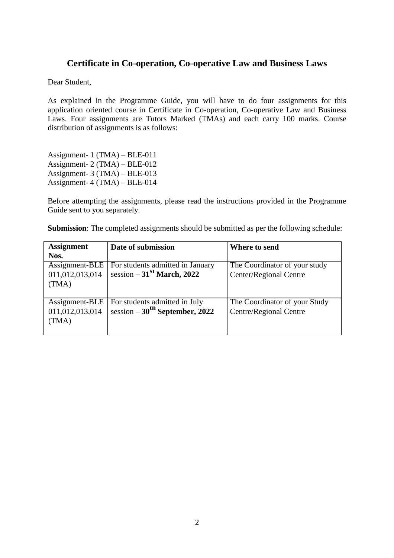## **Certificate in Co-operation, Co-operative Law and Business Laws**

Dear Student,

As explained in the Programme Guide, you will have to do four assignments for this application oriented course in Certificate in Co-operation, Co-operative Law and Business Laws. Four assignments are Tutors Marked (TMAs) and each carry 100 marks. Course distribution of assignments is as follows:

Assignment- 1 (TMA) – BLE-011 Assignment- 2 (TMA) – BLE-012 Assignment- 3 (TMA) – BLE-013 Assignment- 4 (TMA) – BLE-014

Before attempting the assignments, please read the instructions provided in the Programme Guide sent to you separately.

| <b>Assignment</b> | Date of submission                        | Where to send                 |
|-------------------|-------------------------------------------|-------------------------------|
| Nos.              |                                           |                               |
| Assignment-BLE    | For students admitted in January          | The Coordinator of your study |
| 011,012,013,014   | session $-31st$ March, 2022               | Center/Regional Centre        |
| (TMA)             |                                           |                               |
|                   |                                           |                               |
| Assignment-BLE    | For students admitted in July             | The Coordinator of your Study |
| 011,012,013,014   | session $-30^{\text{th}}$ September, 2022 | Centre/Regional Centre        |
| (TMA)             |                                           |                               |
|                   |                                           |                               |

**Submission**: The completed assignments should be submitted as per the following schedule: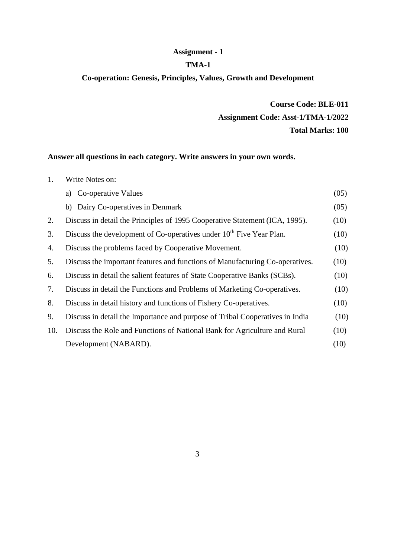## **Assignment - 1**

#### **TMA-1**

## **Co-operation: Genesis, Principles, Values, Growth and Development**

## **Course Code: BLE-011 Assignment Code: Asst-1/TMA-1/2022 Total Marks: 100**

## **Answer all questions in each category. Write answers in your own words.**

| 1.  | Write Notes on:                                                                 |      |
|-----|---------------------------------------------------------------------------------|------|
|     | Co-operative Values<br>a)                                                       | (05) |
|     | b) Dairy Co-operatives in Denmark                                               | (05) |
| 2.  | Discuss in detail the Principles of 1995 Cooperative Statement (ICA, 1995).     | (10) |
| 3.  | Discuss the development of Co-operatives under 10 <sup>th</sup> Five Year Plan. | (10) |
| 4.  | Discuss the problems faced by Cooperative Movement.                             | (10) |
| 5.  | Discuss the important features and functions of Manufacturing Co-operatives.    | (10) |
| 6.  | Discuss in detail the salient features of State Cooperative Banks (SCBs).       | (10) |
| 7.  | Discuss in detail the Functions and Problems of Marketing Co-operatives.        | (10) |
| 8.  | Discuss in detail history and functions of Fishery Co-operatives.               | (10) |
| 9.  | Discuss in detail the Importance and purpose of Tribal Cooperatives in India    | (10) |
| 10. | Discuss the Role and Functions of National Bank for Agriculture and Rural       | (10) |
|     | Development (NABARD).                                                           | (10) |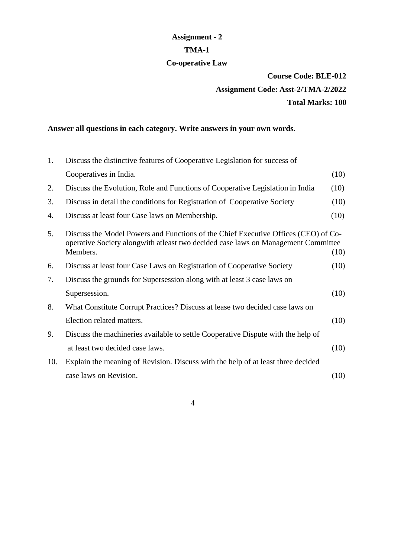## **Assignment - 2 TMA-1 Co-operative Law**

# **Course Code: BLE-012 Assignment Code: Asst-2/TMA-2/2022 Total Marks: 100**

## **Answer all questions in each category. Write answers in your own words.**

| 1.  | Discuss the distinctive features of Cooperative Legislation for success of                                                                                                           |      |
|-----|--------------------------------------------------------------------------------------------------------------------------------------------------------------------------------------|------|
|     | Cooperatives in India.                                                                                                                                                               | (10) |
| 2.  | Discuss the Evolution, Role and Functions of Cooperative Legislation in India                                                                                                        | (10) |
| 3.  | Discuss in detail the conditions for Registration of Cooperative Society                                                                                                             | (10) |
| 4.  | Discuss at least four Case laws on Membership.                                                                                                                                       | (10) |
| 5.  | Discuss the Model Powers and Functions of the Chief Executive Offices (CEO) of Co-<br>operative Society alongwith at least two decided case laws on Management Committee<br>Members. | (10) |
| 6.  | Discuss at least four Case Laws on Registration of Cooperative Society                                                                                                               | (10) |
| 7.  | Discuss the grounds for Supersession along with at least 3 case laws on                                                                                                              |      |
|     | Supersession.                                                                                                                                                                        | (10) |
| 8.  | What Constitute Corrupt Practices? Discuss at lease two decided case laws on                                                                                                         |      |
|     | Election related matters.                                                                                                                                                            | (10) |
| 9.  | Discuss the machineries available to settle Cooperative Dispute with the help of                                                                                                     |      |
|     | at least two decided case laws.                                                                                                                                                      | (10) |
| 10. | Explain the meaning of Revision. Discuss with the help of at least three decided                                                                                                     |      |
|     | case laws on Revision.                                                                                                                                                               | (10) |
|     |                                                                                                                                                                                      |      |

4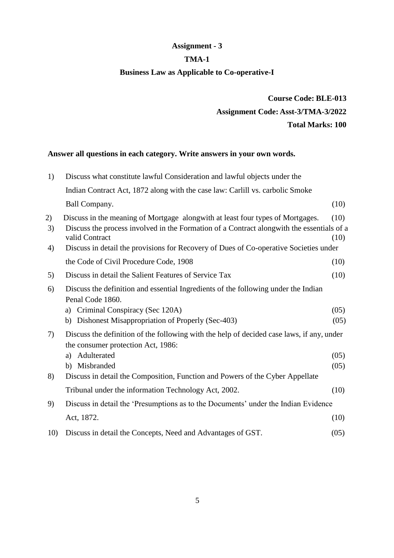## **Assignment - 3**

## **TMA-1**

## **Business Law as Applicable to Co-operative-I**

**Course Code: BLE-013 Assignment Code: Asst-3/TMA-3/2022 Total Marks: 100**

## **Answer all questions in each category. Write answers in your own words.**

| 1)             | Discuss what constitute lawful Consideration and lawful objects under the                                                                                                                                                                                                              |              |
|----------------|----------------------------------------------------------------------------------------------------------------------------------------------------------------------------------------------------------------------------------------------------------------------------------------|--------------|
|                | Indian Contract Act, 1872 along with the case law: Carlill vs. carbolic Smoke                                                                                                                                                                                                          |              |
|                | Ball Company.                                                                                                                                                                                                                                                                          | (10)         |
| 2)<br>3)<br>4) | Discuss in the meaning of Mortgage alongwith at least four types of Mortgages.<br>Discuss the process involved in the Formation of a Contract alongwith the essentials of a<br>valid Contract<br>Discuss in detail the provisions for Recovery of Dues of Co-operative Societies under | (10)<br>(10) |
|                | the Code of Civil Procedure Code, 1908                                                                                                                                                                                                                                                 | (10)         |
| 5)             | Discuss in detail the Salient Features of Service Tax                                                                                                                                                                                                                                  | (10)         |
| 6)             | Discuss the definition and essential Ingredients of the following under the Indian<br>Penal Code 1860.                                                                                                                                                                                 |              |
|                | a) Criminal Conspiracy (Sec 120A)<br>b) Dishonest Misappropriation of Properly (Sec-403)                                                                                                                                                                                               | (05)<br>(05) |
| 7)             | Discuss the definition of the following with the help of decided case laws, if any, under<br>the consumer protection Act, 1986:                                                                                                                                                        |              |
| 8)             | Adulterated<br>a)<br>b) Misbranded<br>Discuss in detail the Composition, Function and Powers of the Cyber Appellate                                                                                                                                                                    | (05)<br>(05) |
|                | Tribunal under the information Technology Act, 2002.                                                                                                                                                                                                                                   | (10)         |
| 9)             | Discuss in detail the 'Presumptions as to the Documents' under the Indian Evidence                                                                                                                                                                                                     |              |
|                | Act, 1872.                                                                                                                                                                                                                                                                             | (10)         |
| 10)            | Discuss in detail the Concepts, Need and Advantages of GST.                                                                                                                                                                                                                            | (05)         |